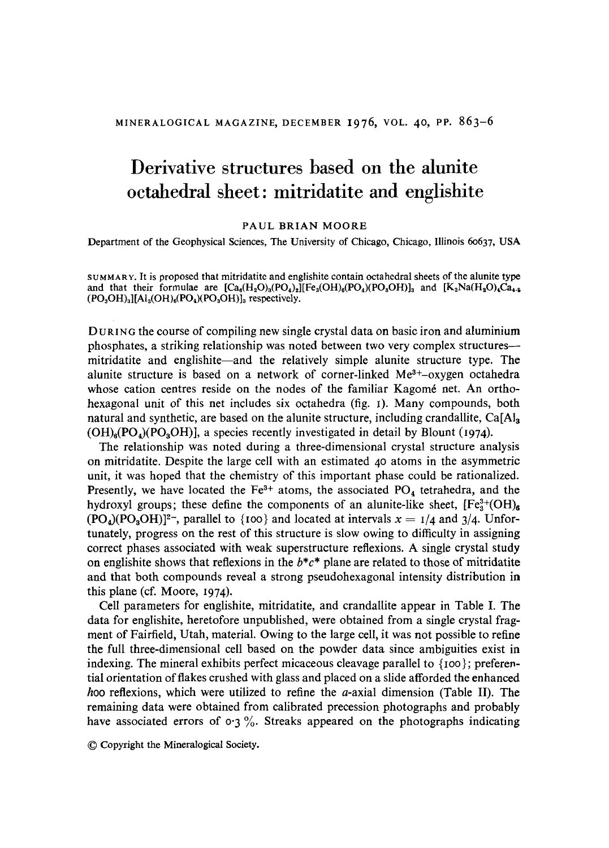# **Derivative structures based on the alunite octahedral sheet: mitridatite and englishite**

#### PAUL BRIAN MOORE

Department of the Geophysical Sciences, The University of Chicago, Chicago, Illinois 60637, USA

SUMMARY. It is proposed that mitridatite and englishite contain octahedral sheets of the alunite type and that their formulae are  $[Ca_6(H_2O)_8(PO_4)_2][Fe_3(OH)_6(PO_4)(PO_3OH)]_3$  and  $[K_2Na(H_2O)_4Ca_4]$ .  $(PO<sub>3</sub>OH)<sub>3</sub>][Al<sub>3</sub>(OH)<sub>6</sub>(PO<sub>4</sub>)(PO<sub>3</sub>OH)]<sub>3</sub> respectively.$ 

DURING the course of compiling new single crystal data on basic iron and aluminium phosphates, a striking relationship was noted between two very complex structures- mitridatite and englishite—and the relatively simple alunite structure type. The alunite structure is based on a network of corner-linked  $Me<sup>3+</sup> - 0xygen$  octahedra whose cation centres reside on the nodes of the familiar Kagomé net. An orthohexagonal unit of this net includes six octahedra (fig. I). Many compounds, both natural and synthetic, are based on the alunite structure, including crandallite,  $Ca[A]_3$  $(OH)_{e}(PO_{a})(PO_{a}OH)$ ], a species recently investigated in detail by Blount (1974).

The relationship was noted during a three-dimensional crystal structure analysis on mitridatite. Despite the large cell with an estimated 4 o atoms in the asymmetric unit, it was hoped that the chemistry of this important phase could be rationalized. Presently, we have located the  $Fe<sup>3+</sup>$  atoms, the associated PO<sub>4</sub> tetrahedra, and the hydroxyl groups; these define the components of an alunite-like sheet,  $[Fe<sub>3</sub><sup>3+</sup>(OH)<sub>6</sub>$  $(PO_4)(PO_3OH)|^2$ , parallel to {100} and located at intervals  $x = 1/4$  and 3/4. Unfortunately, progress on the rest of this structure is slow owing to difficulty in assigning correct phases associated with weak superstructure reflexions. A single crystal study on englishite shows that reflexions in the  $b^*c^*$  plane are related to those of mitridatite and that both compounds reveal a strong pseudohexagonal intensity distribution in this plane (cf. Moore, I974).

Cell parameters for englishite, mitridatite, and crandaUite appear in Table I. The data for englishite, heretofore unpublished, were obtained from a single crystal fragment of Fairfield, Utah, material. Owing to the large cell, it was not possible to refine the full three-dimensional cell based on the powder data since ambiguities exist in indexing. The mineral exhibits perfect micaceous cleavage parallel to  $\{100\}$ ; preferential orientation of flakes crushed with glass and placed on a slide afforded the enhanced hoo reflexions, which were utilized to refine the  $a$ -axial dimension (Table II). The remaining data were obtained from calibrated precession photographs and probably have associated errors of  $\sigma$ 3%. Streaks appeared on the photographs indicating

9 Copyright the Mineralogical Society.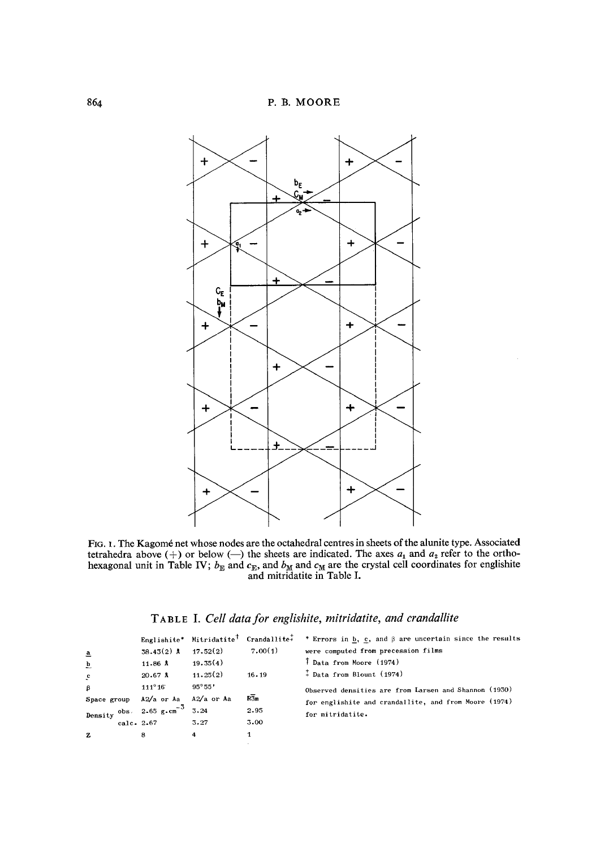

FIG. 1. The Kagomé net whose nodes are the octahedral centres in sheets of the alunite type. Associated tetrahedra above  $(+)$  or below  $(-)$  the sheets are indicated. The axes  $a_1$  and  $a_2$  refer to the orthohexagonal unit in Table IV;  $b_{\rm E}$  and  $c_{\rm E}$ , and  $b_{\rm M}$  and  $c_{\rm M}$  are the crystal cell coordinates for englishite and mitridatite in Table I.

## **TABLE I. Cell data for englishite, mitridatite, and crandallite**

|                                   |  |                                    | Englishite* Mitridatite <sup>†</sup> Crandallite <sup>+</sup> |                  | * Errors in b, c, and $\beta$ are uncertain since the results |  |  |  |  |
|-----------------------------------|--|------------------------------------|---------------------------------------------------------------|------------------|---------------------------------------------------------------|--|--|--|--|
| $\overline{a}$                    |  | $38.43(2)$ A                       | 17.52(2)                                                      | 7.00(1)          | were computed from precession films                           |  |  |  |  |
| $\overline{p}$                    |  | 11.86A                             | 19.35(4)                                                      |                  | T Data from Moore (1974)                                      |  |  |  |  |
| $\mathbf{c}$                      |  | $20.67$ A                          | 11.25(2)                                                      | 16.19            | <sup><math>+</math></sup> Data from Blount (1974)             |  |  |  |  |
| $\boldsymbol{\beta}$              |  | $111^{\circ}16$                    | $95^{\circ}55'$                                               |                  | Observed densities are from Larsen and Shannon (1930)         |  |  |  |  |
| Space group A2/a or Aa A2/a or Aa |  |                                    |                                                               | $R\overline{3}m$ | for englishite and crandallite, and from Moore (1974)         |  |  |  |  |
|                                   |  | Density $obs. 2.65 g.cm^{-3} 3.24$ |                                                               | 2.95             | for mitridatite.                                              |  |  |  |  |
|                                   |  | calc. 2.67                         | 3.27                                                          | 3.00             |                                                               |  |  |  |  |
| z                                 |  | 8                                  | 4                                                             |                  |                                                               |  |  |  |  |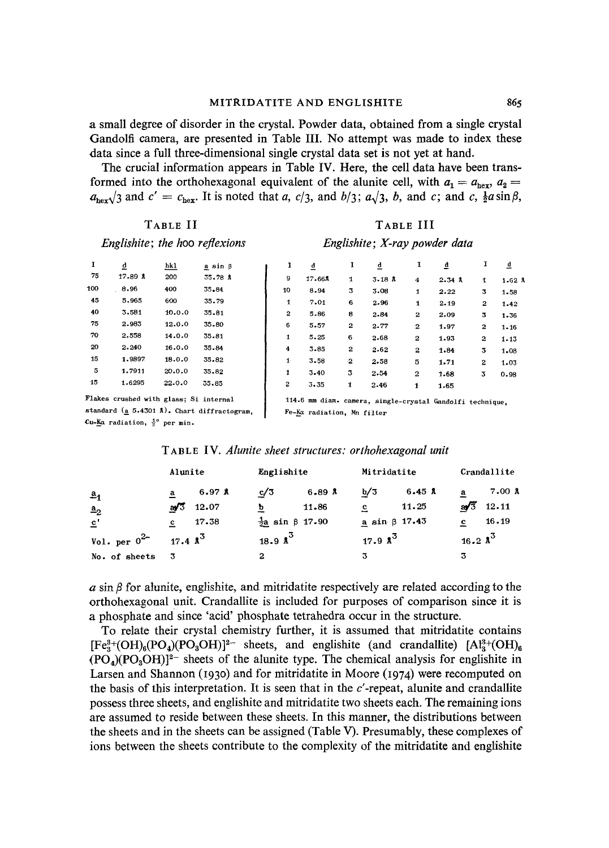**a small degree of disorder in the crystal. Powder data, obtained from a single crystal Gandolfi camera, are presented in Table III. No attempt was made to index these data since a full three-dimensional single crystal data set is not yet at hand.** 

**The crucial information appears in Table IV. Here, the cell data have been trans**formed into the orthohexagonal equivalent of the alunite cell, with  $a_1 = a_{\text{hex}}$ ,  $a_2 =$  $a_{\text{hex}}/3$  and  $c' = c_{\text{hex}}$ . It is noted that a,  $c/3$ , and  $b/3$ ;  $a\sqrt{3}$ , b, and c; and  $c$ ,  $\frac{1}{2}a\sin\beta$ ,

### **TABLE II**

## **TABLE III**

| Englishite; the hoo reflexions |        |             |                | Englishite; X-ray powder data |        |              |       |        |            |        |      |
|--------------------------------|--------|-------------|----------------|-------------------------------|--------|--------------|-------|--------|------------|--------|------|
|                                | d      | <u>hk 1</u> | $a \sin \beta$ |                               | d      | 1            | đ     |        | ₫          |        |      |
| 75                             | 17.89A | 200         | 35.78A         | 9                             | 17.668 | $\mathbf{1}$ | 3.18A | 4      | $2.34$ $*$ |        | 1.62 |
| 100                            | 8.96   | 400         | 35.84          | 10                            | 8.94   | 3            | 3.08  | 1      | 2.22       | 3.     | 1.58 |
| 45                             | 5.965  | 600         | 35.79          | 1                             | 7.01   | 6            | 2.96  | 1      | 2.19       | 2      | 1.42 |
| 40                             | 3.581  | 10.0.0      | 35.81          | 2                             | 5.86   | 8            | 2.84  | 2      | 2.09       | 3      | 1.36 |
| 75                             | 2.983  | 12.0.0      | 35.80          | в.                            | 557    | $\bullet$    | 0.77  | $\sim$ | $\sim$     | $\sim$ | .    |

Flakes **crushed with glass; Si internal**  standard ( $\frac{1}{2}$  5.4301 Å). Chart diffractogram, Cu-Ka radiation, <sup>1°</sup> per min.

70 2.558 14.0.0 55.81 20 2.240 16.0.0 55.84 15 1.9897 18,0.0 35.82 5 1.7911 20.0.0 35.82 15 1.6295 22.0.0 55.85

6 5.57 2 2.77 2 1.97 2 1.16 1 5.25 6 2.68 2 1.95 2 1.15 4 5.85 2 2.62 2 1.84 3 1.08 1 3.58 2 2.58 5 1.71 2 1.03 1 3.40 5 2.54 2 1.68 5 0.98

 $4$  2.34 Å  $1$  1.62 Å

**114.6 mm diam. camera, single-crystal Gandolfi technique,**  Fe-Ka radiation, Mn **filter** 

*2 3.35* 1 2-46 1 1.65

| TABLE IV. Alunite sheet structures: orthohexagonal unit |  |
|---------------------------------------------------------|--|
|---------------------------------------------------------|--|

| Alunite           |                                     | Englishite                      | Mitridatite                 | Crandallite           |  |
|-------------------|-------------------------------------|---------------------------------|-----------------------------|-----------------------|--|
| a <sub>1</sub>    | 6.97 <sup>8</sup><br>$\overline{a}$ | c/3<br>6.89A                    | b/3<br>$6.45 \; \text{\AA}$ | 7.00 A<br>a           |  |
| a <sub>2</sub>    | 12.07<br>a/3                        | 11.86<br>b                      | 11.25<br>으                  | $\frac{1}{2}$ 12.11   |  |
| $\mathbf{c}$      | 17.38<br>c                          | $\frac{1}{2}a \sin \beta$ 17.90 | a sin $\beta$ 17.43         | 16.19<br>$\mathbf{c}$ |  |
| Vol. per $0^{2-}$ | 17.4 $\lambda^3$                    | 18.9 $\lambda^3$                | 17.9 $\lambda^3$            | 16.2 $\lambda^3$      |  |
| No. of sheets     | - 3                                 | 2                               | 3                           |                       |  |

 $a \sin \beta$  for alunite, englishite, and mitridatite respectively are related according to the **orthohexagonal unit. Crandallite is included for purposes of comparison since it is a phosphate and since 'acid' phosphate tetrahedra occur in the structure.** 

**To relate their crystal chemistry further, it is assumed that mitridatite contains**   $[Fe<sub>8</sub><sup>3+</sup>(OH)<sub>6</sub>(PO<sub>4</sub>)(PO<sub>3</sub>OH)]<sup>2-</sup> sheets, and englishite (and crandallite)  $[A<sub>8</sub><sup>3+</sup>(OH)<sub>6</sub>$$  $(PO<sub>4</sub>)(PO<sub>3</sub>OH)<sup>2</sup>$  sheets of the alunite type. The chemical analysis for englishite in Larsen and Shannon (1930) and for mitridatite in Moore (1974) were recomputed on the basis of this interpretation. It is seen that in the c'-repeat, alunite and crandallite **possess three sheets, and englishite and mitridatite two sheets each. The remaining ions are assumed to reside between these sheets. In this manner, the distributions between the sheets and in the sheets can be assigned (Table V). Presumably, these complexes of ions between the sheets contribute to the complexity of the mitridatite and englishite**